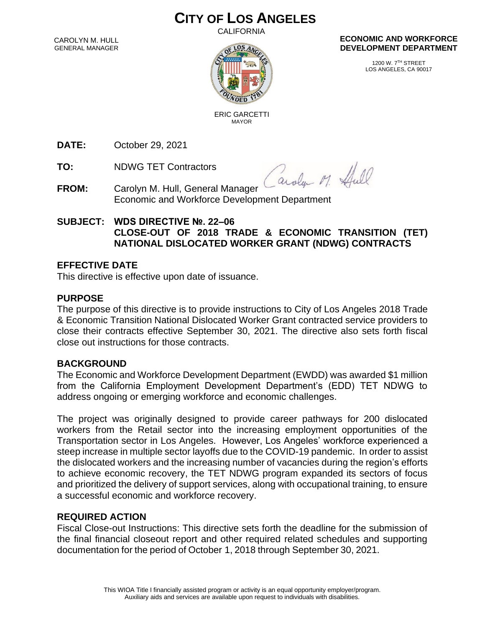# **CITY OF LOS ANGELES**

CALIFORNIA

CAROLYN M. HULL GENERAL MANAGER



#### **ECONOMIC AND WORKFORCE DEVELOPMENT DEPARTMENT**

1200 W. 7TH STREET LOS ANGELES, CA 90017

 ERIC GARCETTI MAYOR

**DATE:** October 29, 2021

**TO:** NDWG TET Contractors

Caroly M. Hull

- **FROM:** Carolyn M. Hull, General Manager Economic and Workforce Development Department
- **SUBJECT: WDS DIRECTIVE №. 22–06 CLOSE-OUT OF 2018 TRADE & ECONOMIC TRANSITION (TET) NATIONAL DISLOCATED WORKER GRANT (NDWG) CONTRACTS**

### **EFFECTIVE DATE**

This directive is effective upon date of issuance.

### **PURPOSE**

The purpose of this directive is to provide instructions to City of Los Angeles 2018 Trade & Economic Transition National Dislocated Worker Grant contracted service providers to close their contracts effective September 30, 2021. The directive also sets forth fiscal close out instructions for those contracts.

### **BACKGROUND**

The Economic and Workforce Development Department (EWDD) was awarded \$1 million from the California Employment Development Department's (EDD) TET NDWG to address ongoing or emerging workforce and economic challenges.

The project was originally designed to provide career pathways for 200 dislocated workers from the Retail sector into the increasing employment opportunities of the Transportation sector in Los Angeles. However, Los Angeles' workforce experienced a steep increase in multiple sector layoffs due to the COVID-19 pandemic. In order to assist the dislocated workers and the increasing number of vacancies during the region's efforts to achieve economic recovery, the TET NDWG program expanded its sectors of focus and prioritized the delivery of support services, along with occupational training, to ensure a successful economic and workforce recovery.

### **REQUIRED ACTION**

Fiscal Close-out Instructions: This directive sets forth the deadline for the submission of the final financial closeout report and other required related schedules and supporting documentation for the period of October 1, 2018 through September 30, 2021.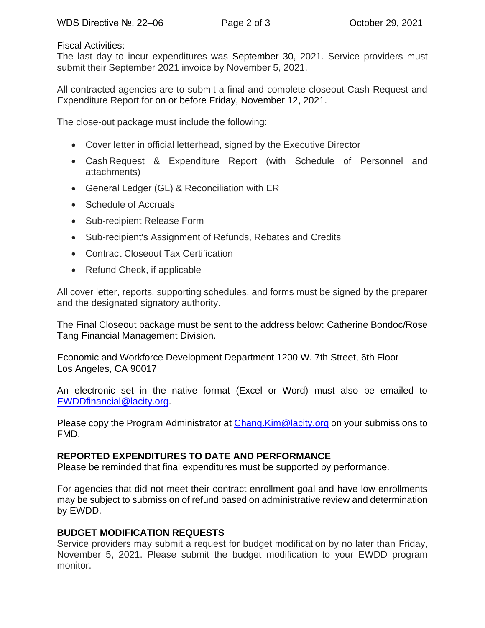#### Fiscal Activities:

The last day to incur expenditures was September 30, 2021. Service providers must submit their September 2021 invoice by November 5, 2021.

All contracted agencies are to submit a final and complete closeout Cash Request and Expenditure Report for on or before Friday, November 12, 2021.

The close-out package must include the following:

- Cover letter in official letterhead, signed by the Executive Director
- Cash Request & Expenditure Report (with Schedule of Personnel and attachments)
- General Ledger (GL) & Reconciliation with ER
- Schedule of Accruals
- Sub-recipient Release Form
- Sub-recipient's Assignment of Refunds, Rebates and Credits
- Contract Closeout Tax Certification
- Refund Check, if applicable

All cover letter, reports, supporting schedules, and forms must be signed by the preparer and the designated signatory authority.

The Final Closeout package must be sent to the address below: Catherine Bondoc/Rose Tang Financial Management Division.

Economic and Workforce Development Department 1200 W. 7th Street, 6th Floor Los Angeles, CA 90017

An electronic set in the native format (Excel or Word) must also be emailed to [EWDDfinancial@lacity.org.](mailto:EWDDfinancial@lacity.org)

Please copy the Program Administrator at [Chang.Kim@lacity.org](mailto:Chang.Kim@lacity.org) on your submissions to FMD.

## **REPORTED EXPENDITURES TO DATE AND PERFORMANCE**

Please be reminded that final expenditures must be supported by performance.

For agencies that did not meet their contract enrollment goal and have low enrollments may be subject to submission of refund based on administrative review and determination by EWDD.

### **BUDGET MODIFICATION REQUESTS**

Service providers may submit a request for budget modification by no later than Friday, November 5, 2021. Please submit the budget modification to your EWDD program monitor.